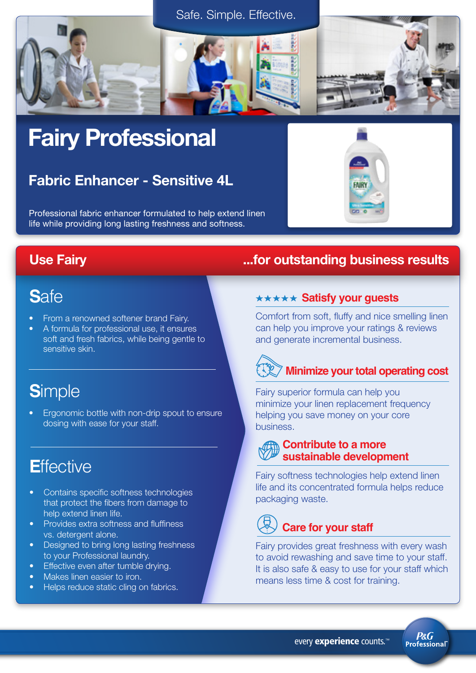



# Fairy Professional

# Fabric Enhancer - Sensitive 4L

Professional fabric enhancer formulated to help extend linen life while providing long lasting freshness and softness.

# **S**afe

- From a renowned softener brand Fairy.
- A formula for professional use, it ensures soft and fresh fabrics, while being gentle to sensitive skin.

# **S**imple

• Ergonomic bottle with non-drip spout to ensure dosing with ease for your staff.

# **E**ffective

- Contains specific softness technologies that protect the fibers from damage to help extend linen life.
- **Provides extra softness and fluffiness** vs. detergent alone.
- Designed to bring long lasting freshness to your Professional laundry.
- Effective even after tumble drying.
- Makes linen easier to iron.
- Helps reduce static cling on fabrics.

## Use Fairy ...for outstanding business results

**FAIRY** 

#### **\*\*\*\*\* Satisfy your guests**

Comfort from soft, fluffy and nice smelling linen can help you improve your ratings & reviews and generate incremental business.

# **EXIMINIZE your total operating cost**

Fairy superior formula can help you minimize your linen replacement frequency helping you save money on your core business.

#### **Contribute to a more sustainable development**

Fairy softness technologies help extend linen life and its concentrated formula helps reduce packaging waste.

# **Care for your staff**

Fairy provides great freshness with every wash to avoid rewashing and save time to your staff. It is also safe & easy to use for your staff which means less time & cost for training.

**P&G Professional**